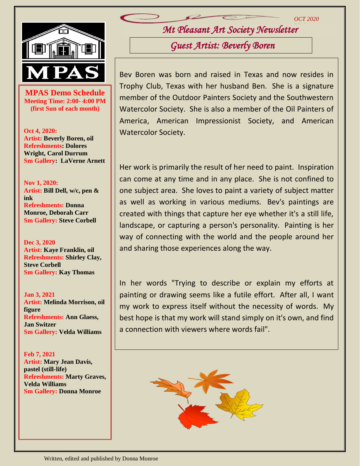

**MPAS Demo Schedule**<br>
Meeting Time: 2:00- 4:00 PM **Meeting Time: 2:00- 4:00 PM (first Sun of each month)**

**Oct 4, 2020: Artist: Beverly Boren, oil Refreshments: Dolores Wright, Carol Durrum Sm Gallery: LaVerne Arnett**

**Nov 1, 2020: Artist: Bill Dell, w/c, pen & ink Refreshments: Donna Monroe, Deborah Carr Sm Gallery: Steve Corbell**

**Dec 3, 2020 Artist: Kaye Franklin, oil Refreshments: Shirley Clay, Steve Corbell Sm Gallery: Kay Thomas**

**Jan 3, 2021 Artist: Melinda Morrison, oil figure Refreshments: Ann Glaess, Jan Switzer Sm Gallery: Velda Williams**

**Feb 7, 2021 Artist: Mary Jean Davis, pastel (still-life) Refreshments: Marty Graves, Velda Williams Sm Gallery: Donna Monroe**

*Mt Pleasant Art Society Newsletter 2019*

*OCT 2020*

*Guest Artist: Beverly Boren* 

Bev Boren was born and raised in Texas and now resides in Trophy Club, Texas with her husband Ben. She is a signature member of the Outdoor Painters Society and the Southwestern Watercolor Society. She is also a member of the Oil Painters of America, American Impressionist Society, and American Watercolor Society.

Her work is primarily the result of her need to paint. Inspiration can come at any time and in any place. She is not confined to one subject area. She loves to paint a variety of subject matter as well as working in various mediums. Bev's paintings are created with things that capture her eye whether it's a still life, landscape, or capturing a person's personality. Painting is her way of connecting with the world and the people around her and sharing those experiences along the way.

In her words "Trying to describe or explain my efforts at painting or drawing seems like a futile effort. After all, I want my work to express itself without the necessity of words. My best hope is that my work will stand simply on it's own, and find a connection with viewers where words fail".

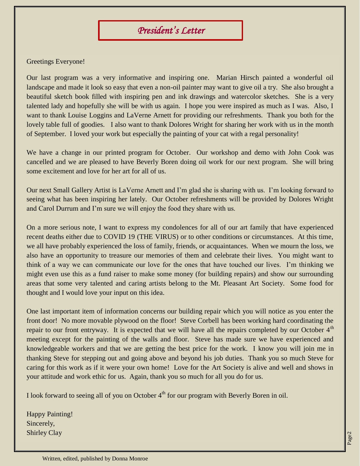# *President's Letter*

### Greetings Everyone!

Our last program was a very informative and inspiring one. Marian Hirsch painted a wonderful oil landscape and made it look so easy that even a non-oil painter may want to give oil a try. She also brought a beautiful sketch book filled with inspiring pen and ink drawings and watercolor sketches. She is a very talented lady and hopefully she will be with us again. I hope you were inspired as much as I was. Also, I want to thank Louise Loggins and LaVerne Arnett for providing our refreshments. Thank you both for the lovely table full of goodies. I also want to thank Dolores Wright for sharing her work with us in the month of September. I loved your work but especially the painting of your cat with a regal personality!

We have a change in our printed program for October. Our workshop and demo with John Cook was cancelled and we are pleased to have Beverly Boren doing oil work for our next program. She will bring some excitement and love for her art for all of us.

Our next Small Gallery Artist is LaVerne Arnett and I'm glad she is sharing with us. I'm looking forward to seeing what has been inspiring her lately. Our October refreshments will be provided by Dolores Wright and Carol Durrum and I'm sure we will enjoy the food they share with us.

On a more serious note, I want to express my condolences for all of our art family that have experienced recent deaths either due to COVID 19 (THE VIRUS) or to other conditions or circumstances. At this time, we all have probably experienced the loss of family, friends, or acquaintances. When we mourn the loss, we also have an opportunity to treasure our memories of them and celebrate their lives. You might want to think of a way we can communicate our love for the ones that have touched our lives. I'm thinking we might even use this as a fund raiser to make some money (for building repairs) and show our surrounding areas that some very talented and caring artists belong to the Mt. Pleasant Art Society. Some food for thought and I would love your input on this idea.

One last important item of information concerns our building repair which you will notice as you enter the front door! No more movable plywood on the floor! Steve Corbell has been working hard coordinating the repair to our front entryway. It is expected that we will have all the repairs completed by our October  $4<sup>th</sup>$ meeting except for the painting of the walls and floor. Steve has made sure we have experienced and knowledgeable workers and that we are getting the best price for the work. I know you will join me in thanking Steve for stepping out and going above and beyond his job duties. Thank you so much Steve for caring for this work as if it were your own home! Love for the Art Society is alive and well and shows in your attitude and work ethic for us. Again, thank you so much for all you do for us.

I look forward to seeing all of you on October  $4<sup>th</sup>$  for our program with Beverly Boren in oil.

Happy Painting! Sincerely, Shirley Clay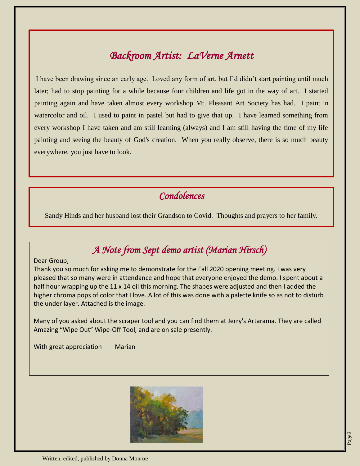## *Backroom Artist: LaVerne Arnett*

I have been drawing since an early age. Loved any form of art, but I'd didn't start painting until much later; had to stop painting for a while because four children and life got in the way of art. I started painting again and have taken almost every workshop Mt. Pleasant Art Society has had. I paint in watercolor and oil. I used to paint in pastel but had to give that up. I have learned something from every workshop I have taken and am still learning (always) and I am still having the time of my life painting and seeing the beauty of God's creation. When you really observe, there is so much beauty everywhere, you just have to look.

#### *Condolences*

Sandy Hinds and her husband lost their Grandson to Covid. Thoughts and prayers to her family.

### *A Note from Sept demo artist (Marian Hirsch)*

#### Dear Group,

Thank you so much for asking me to demonstrate for the Fall 2020 opening meeting. I was very pleased that so many were in attendance and hope that everyone enjoyed the demo. I spent about a half hour wrapping up the 11 x 14 oil this morning. The shapes were adjusted and then I added the higher chroma pops of color that I love. A lot of this was done with a palette knife so as not to disturb the under layer. Attached is the image.

Many of you asked about the scraper tool and you can find them at Jerry's Artarama. They are called Amazing "Wipe Out" Wipe-Off Tool, and are on sale presently.

With great appreciation Marian